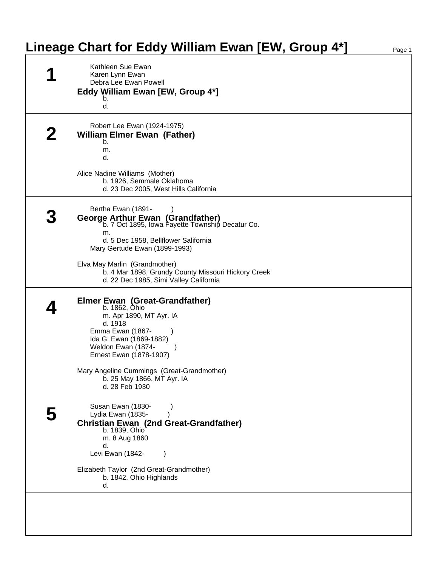| Lineage Chart for Eddy William Ewan [EW, Group 4*]                                                                                                                                                                                                                                                                          | Page 1                                |
|-----------------------------------------------------------------------------------------------------------------------------------------------------------------------------------------------------------------------------------------------------------------------------------------------------------------------------|---------------------------------------|
| Kathleen Sue Ewan<br>Karen Lynn Ewan<br>Debra Lee Ewan Powell<br>Eddy William Ewan [EW, Group 4*]<br>b.<br>d.                                                                                                                                                                                                               |                                       |
| Robert Lee Ewan (1924-1975)<br><b>William Elmer Ewan (Father)</b><br>b.<br>m.<br>d.<br>Alice Nadine Williams (Mother)<br>b. 1926, Semmale Oklahoma                                                                                                                                                                          |                                       |
| Bertha Ewan (1891-<br>George Arthur Ewan (Grandfather)<br>b. 7 Oct 1895, Iowa Fayette Township Decatur Co.<br>m.<br>d. 5 Dec 1958, Bellflower Salifornia<br>Mary Gertude Ewan (1899-1993)<br>Elva May Marlin (Grandmother)<br>b. 4 Mar 1898, Grundy County Missouri Hickory Creek<br>d. 22 Dec 1985, Simi Valley California |                                       |
| Elmer Ewan (Great-Grandfather)<br>b. 1862, Ohio<br>m. Apr 1890, MT Ayr. IA<br>d. 1918<br>Emma Ewan (1867-<br>Ida G. Ewan (1869-1882)<br>Weldon Ewan (1874-<br>Ernest Ewan (1878-1907)<br>Mary Angeline Cummings (Great-Grandmother)<br>b. 25 May 1866, MT Ayr. IA<br>d. 28 Feb 1930                                         |                                       |
| Susan Ewan (1830-<br>Lydia Ewan (1835-<br><b>Christian Ewan (2nd Great-Grandfather)</b><br>b. 1839, Ohio<br>m. 8 Aug 1860<br>d.<br>Levi Ewan (1842-<br>Elizabeth Taylor (2nd Great-Grandmother)<br>b. 1842, Ohio Highlands<br>d.                                                                                            |                                       |
|                                                                                                                                                                                                                                                                                                                             | d. 23 Dec 2005, West Hills California |